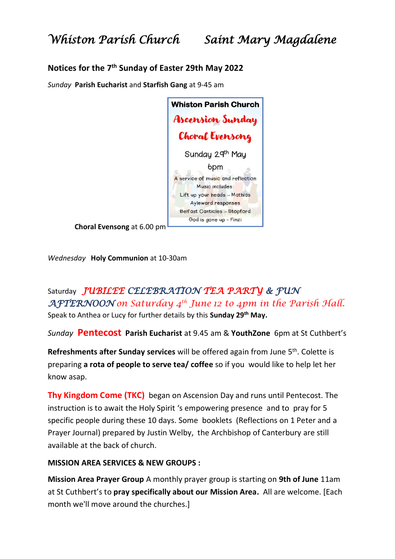### **Notices for the 7 th Sunday of Easter 29th May 2022**

*Sunday* **Parish Eucharist** and **Starfish Gang** at 9-45 am

| <b>Whiston Parish Church</b>      |
|-----------------------------------|
| Ascension Sunday                  |
| <b>Choral Evensong</b>            |
| Sunday 29th May                   |
| 6pm                               |
| A service of music and reflection |
| Music includes:                   |
| Lift up your heads - Mathias      |
| Ayleward responses                |
| Belfast Canticles - Stopford      |
| God is gone up - Finzi            |
|                                   |

**Choral Evensong** at 6.00 pm

*Wednesday* **Holy Communion** at 10-30am

## Saturday *JUBILEE CELEBRATION TEA PARTY & FUN AFTERNOON on Saturday 4th June 12 to 4pm in the Parish Hall.*

Speak to Anthea or Lucy for further details by this **Sunday 29th May.**

*Sunday* **Pentecost Parish Eucharist** at 9.45 am & **YouthZone** 6pm at St Cuthbert's

Refreshments after Sunday services will be offered again from June 5<sup>th</sup>. Colette is preparing **a rota of people to serve tea/ coffee** so if you would like to help let her know asap.

**Thy Kingdom Come (TKC)** began on Ascension Day and runs until Pentecost. The instruction is to await the Holy Spirit 's empowering presence and to pray for 5 specific people during these 10 days. Some booklets (Reflections on 1 Peter and a Prayer Journal) prepared by Justin Welby, the Archbishop of Canterbury are still available at the back of church.

### **MISSION AREA SERVICES & NEW GROUPS :**

**Mission Area Prayer Group** A monthly prayer group is starting on **9th of June** 11am at St Cuthbert's to **pray specifically about our Mission Area.** All are welcome. [Each month we'll move around the churches.]